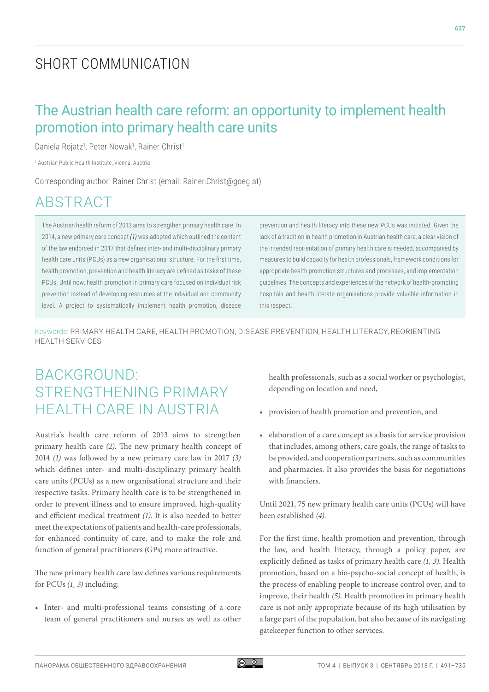## SHORT COMMUNICATION

## The Austrian health care reform: an opportunity to implement health promotion into primary health care units

Daniela Rojatz<sup>1</sup>, Peter Nowak<sup>1</sup>, Rainer Christ<sup>1</sup>

1 Austrian Public Health Institute, Vienna, Austria

Corresponding author: Rainer Christ (email: [Rainer.Christ@goeg.at\)](mailto:Rainer.Christ@goeg.at))

# ABSTRACT

The Austrian health reform of 2013 aims to strengthen primary health care. In 2014, a new primary care concept *(1)* was adopted which outlined the content of the law endorsed in 2017 that defines inter- and multi-disciplinary primary health care units (PCUs) as a new organisational structure. For the first time, health promotion, prevention and health literacy are defined as tasks of these PCUs. Until now, health promotion in primary care focused on individual risk prevention instead of developing resources at the individual and community level. A project to systematically implement health promotion, disease prevention and health literacy into these new PCUs was initiated. Given the lack of a tradition in health promotion in Austrian health care, a clear vision of the intended reorientation of primary health care is needed, accompanied by measures to build capacity for health professionals, framework conditions for appropriate health promotion structures and processes, and implementation guidelines. The concepts and experiences of the network of health-promoting hospitals and health-literate organisations provide valuable information in this respect.

Keywords: PRIMARY HEALTH CARE, HEALTH PROMOTION, DISEASE PREVENTION, HEALTH LITERACY, REORIENTING HEALTH SERVICES

## BACKGROUND: STRENGTHENING PRIMARY HEALTH CARE IN AUSTRIA

Austria's health care reform of 2013 aims to strengthen primary health care *(2)*. The new primary health concept of 2014 *(1)* was followed by a new primary care law in 2017 *(3)* which defines inter- and multi-disciplinary primary health care units (PCUs) as a new organisational structure and their respective tasks. Primary health care is to be strengthened in order to prevent illness and to ensure improved, high-quality and efficient medical treatment *(1)*. It is also needed to better meet the expectations of patients and health-care professionals, for enhanced continuity of care, and to make the role and function of general practitioners (GPs) more attractive.

The new primary health care law defines various requirements for PCUs *(1, 3)* including:

• Inter- and multi-professional teams consisting of a core team of general practitioners and nurses as well as other health professionals, such as a social worker or psychologist, depending on location and need,

- provision of health promotion and prevention, and
- elaboration of a care concept as a basis for service provision that includes, among others, care goals, the range of tasks to be provided, and cooperation partners, such as communities and pharmacies. It also provides the basis for negotiations with financiers.

Until 2021, 75 new primary health care units (PCUs) will have been established *(4)*.

For the first time, health promotion and prevention, through the law, and health literacy, through a policy paper, are explicitly defined as tasks of primary health care *(1, 3)*. Health promotion, based on a bio-psycho-social concept of health, is the process of enabling people to increase control over, and to improve, their health *(5)*. Health promotion in primary health care is not only appropriate because of its high utilisation by a large part of the population, but also because of its navigating gatekeeper function to other services.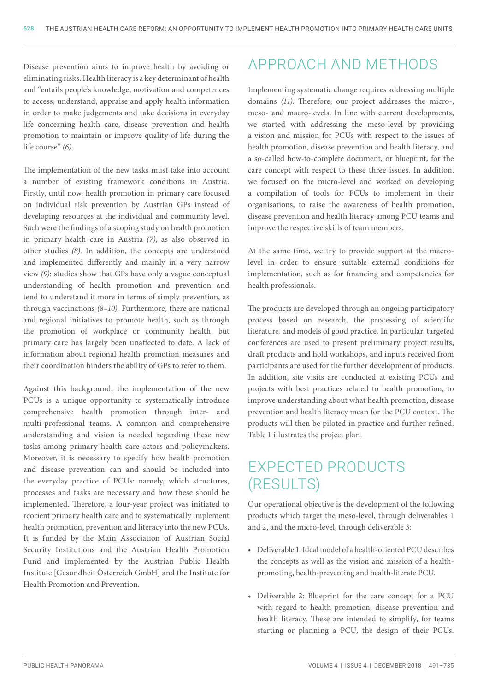Disease prevention aims to improve health by avoiding or eliminating risks. Health literacy is a key determinant of health and "entails people's knowledge, motivation and competences to access, understand, appraise and apply health information in order to make judgements and take decisions in everyday life concerning health care, disease prevention and health promotion to maintain or improve quality of life during the life course" *(6)*.

The implementation of the new tasks must take into account a number of existing framework conditions in Austria. Firstly, until now, health promotion in primary care focused on individual risk prevention by Austrian GPs instead of developing resources at the individual and community level. Such were the findings of a scoping study on health promotion in primary health care in Austria *(7)*, as also observed in other studies *(8)*. In addition, the concepts are understood and implemented differently and mainly in a very narrow view *(9)*: studies show that GPs have only a vague conceptual understanding of health promotion and prevention and tend to understand it more in terms of simply prevention, as through vaccinations *(8–10)*. Furthermore, there are national and regional initiatives to promote health, such as through the promotion of workplace or community health, but primary care has largely been unaffected to date. A lack of information about regional health promotion measures and their coordination hinders the ability of GPs to refer to them.

Against this background, the implementation of the new PCUs is a unique opportunity to systematically introduce comprehensive health promotion through inter- and multi-professional teams. A common and comprehensive understanding and vision is needed regarding these new tasks among primary health care actors and policymakers. Moreover, it is necessary to specify how health promotion and disease prevention can and should be included into the everyday practice of PCUs: namely, which structures, processes and tasks are necessary and how these should be implemented. Therefore, a four-year project was initiated to reorient primary health care and to systematically implement health promotion, prevention and literacy into the new PCUs. It is funded by the Main Association of Austrian Social Security Institutions and the Austrian Health Promotion Fund and implemented by the Austrian Public Health Institute [Gesundheit Österreich GmbH] and the Institute for Health Promotion and Prevention.

# APPROACH AND METHODS

Implementing systematic change requires addressing multiple domains *(11)*. Therefore, our project addresses the micro-, meso- and macro-levels. In line with current developments, we started with addressing the meso-level by providing a vision and mission for PCUs with respect to the issues of health promotion, disease prevention and health literacy, and a so-called how-to-complete document, or blueprint, for the care concept with respect to these three issues. In addition, we focused on the micro-level and worked on developing a compilation of tools for PCUs to implement in their organisations, to raise the awareness of health promotion, disease prevention and health literacy among PCU teams and improve the respective skills of team members.

At the same time, we try to provide support at the macrolevel in order to ensure suitable external conditions for implementation, such as for financing and competencies for health professionals.

The products are developed through an ongoing participatory process based on research, the processing of scientific literature, and models of good practice. In particular, targeted conferences are used to present preliminary project results, draft products and hold workshops, and inputs received from participants are used for the further development of products. In addition, site visits are conducted at existing PCUs and projects with best practices related to health promotion, to improve understanding about what health promotion, disease prevention and health literacy mean for the PCU context. The products will then be piloted in practice and further refined. Table 1 illustrates the project plan.

# EXPECTED PRODUCTS (RESULTS)

Our operational objective is the development of the following products which target the meso-level, through deliverables 1 and 2, and the micro-level, through deliverable 3:

- Deliverable 1: Ideal model of a health-oriented PCU describes the concepts as well as the vision and mission of a healthpromoting, health-preventing and health-literate PCU.
- Deliverable 2: Blueprint for the care concept for a PCU with regard to health promotion, disease prevention and health literacy. These are intended to simplify, for teams starting or planning a PCU, the design of their PCUs.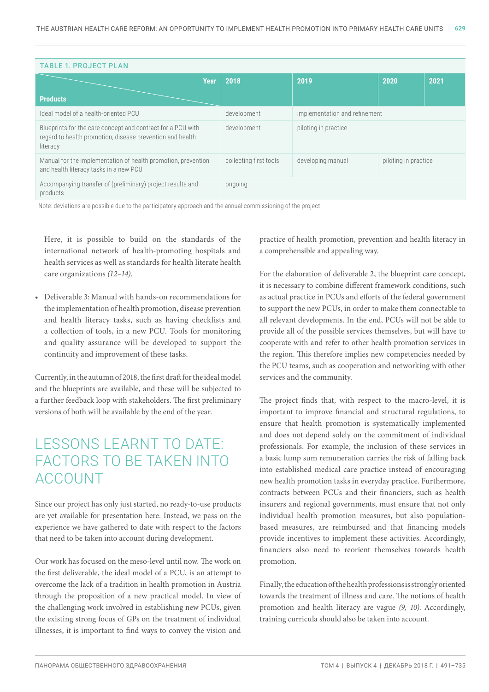| <b>TABLE 1. PROJECT PLAN</b>                                                                                                         |                        |                               |                      |      |  |
|--------------------------------------------------------------------------------------------------------------------------------------|------------------------|-------------------------------|----------------------|------|--|
|                                                                                                                                      | 2018<br><b>Year</b>    | 2019                          | 2020                 | 2021 |  |
| <b>Products</b>                                                                                                                      |                        |                               |                      |      |  |
| Ideal model of a health-oriented PCU                                                                                                 | development            | implementation and refinement |                      |      |  |
| Blueprints for the care concept and contract for a PCU with<br>regard to health promotion, disease prevention and health<br>literacy | development            | piloting in practice          |                      |      |  |
| Manual for the implementation of health promotion, prevention<br>and health literacy tasks in a new PCU                              | collecting first tools | developing manual             | piloting in practice |      |  |
| Accompanying transfer of (preliminary) project results and<br>products                                                               | ongoing                |                               |                      |      |  |
|                                                                                                                                      |                        |                               |                      |      |  |

Note: deviations are possible due to the participatory approach and the annual commissioning of the project

Here, it is possible to build on the standards of the international network of health-promoting hospitals and health services as well as standards for health literate health care organizations *(12–14)*.

• [Deliverable](https://www.dict.cc/englisch-deutsch/deliverable.html) 3: Manual with hands-on recommendations for the implementation of health promotion, disease prevention and health literacy tasks, such as having checklists and a collection of tools, in a new PCU. Tools for monitoring and quality assurance will be developed to support the continuity and improvement of these tasks.

Currently, in the autumn of 2018, the first draft for the ideal model and the blueprints are available, and these will be subjected to a further feedback loop with stakeholders. The first preliminary versions of both will be available by the end of the year.

## LESSONS LEARNT TO DATE: FACTORS TO BE TAKEN INTO ACCOUNT

Since our project has only just started, no ready-to-use products are yet available for presentation here. Instead, we pass on the experience we have gathered to date with respect to the factors that need to be taken into account during development.

Our work has focused on the meso-level until now. The work on the first deliverable, the ideal model of a PCU, is an attempt to overcome the lack of a tradition in health promotion in Austria through the proposition of a new practical model. In view of the challenging work involved in establishing new PCUs, given the existing strong focus of GPs on the treatment of individual illnesses, it is important to find ways to convey the vision and

practice of health promotion, prevention and health literacy in a comprehensible and appealing way.

For the elaboration of deliverable 2, the blueprint care concept, it is necessary to combine different framework conditions, such as actual practice in PCUs and efforts of the federal government to support the new PCUs, in order to make them connectable to all relevant developments. In the end, PCUs will not be able to provide all of the possible services themselves, but will have to cooperate with and refer to other health promotion services in the region. This therefore implies new competencies needed by the PCU teams, such as cooperation and networking with other services and the community.

The project finds that, with respect to the macro-level, it is important to improve financial and structural regulations, to ensure that health promotion is systematically implemented and does not depend solely on the commitment of individual professionals. For example, the inclusion of these services in a basic lump sum remuneration carries the risk of falling back into established medical care practice instead of encouraging new health promotion tasks in everyday practice. Furthermore, contracts between PCUs and their financiers, such as health insurers and regional governments, must ensure that not only individual health promotion measures, but also populationbased measures, are reimbursed and that financing models provide incentives to implement these activities. Accordingly, financiers also need to reorient themselves towards health promotion.

Finally, the education of the health professions is strongly oriented towards the treatment of illness and care. The notions of health promotion and health literacy are vague *(9, 10)*. Accordingly, training curricula should also be taken into account.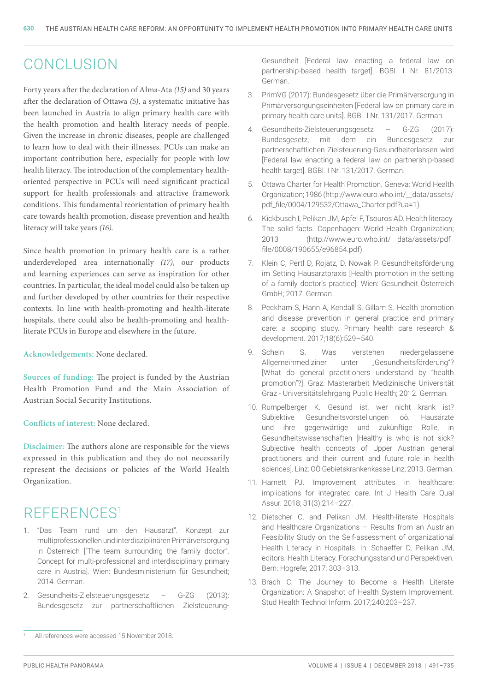#### **CONCLUSION**

Forty years after the declaration of Alma-Ata *(15)* and 30 years after the declaration of Ottawa *(5)*, a systematic initiative has been launched in Austria to align primary health care with the health promotion and health literacy needs of people. Given the increase in chronic diseases, people are challenged to learn how to deal with their illnesses. PCUs can make an important contribution here, especially for people with low health literacy. The introduction of the complementary healthoriented perspective in PCUs will need significant practical support for health professionals and attractive framework conditions. This fundamental reorientation of primary health care towards health promotion, disease prevention and health literacy will take years *(16)*.

Since health promotion in primary health care is a rather underdeveloped area internationally *(17)*, our products and learning experiences can serve as inspiration for other countries. In particular, the ideal model could also be taken up and further developed by other countries for their respective contexts. In line with health-promoting and health-literate hospitals, there could also be health-promoting and healthliterate PCUs in Europe and elsewhere in the future.

**Acknowledgements:** None declared.

**Sources of funding:** The project is funded by the Austrian Health Promotion Fund and the Main Association of Austrian Social Security Institutions.

**Conflicts of interest:** None declared.

**Disclaimer:** The authors alone are responsible for the views expressed in this publication and they do not necessarily represent the decisions or policies of the World Health Organization.

## REFERENCES1

- 1. "Das Team rund um den Hausarzt". Konzept zur multiprofessionellen und interdisziplinären Primärversorgung in Österreich ["The team surrounding the family doctor". Concept for multi-professional and interdisciplinary primary care in Austria]. Wien: Bundesministerium für Gesundheit; 2014. German.
- 2. Gesundheits-Zielsteuerungsgesetz G-ZG (2013): Bundesgesetz zur partnerschaftlichen Zielsteuerung-

Gesundheit [Federal law enacting a federal law on partnership-based health target]. [BGBl. I Nr. 81/2013](https://www.ris.bka.gv.at/eli/bgbl/I/2013/81). German.

- 3. PrimVG (2017): Bundesgesetz über die Primärversorgung in Primärversorgungseinheiten [Federal law on primary care in primary health care units]. [BGBl. I Nr. 131/2017](https://www.ris.bka.gv.at/eli/bgbl/I/2017/131). German.
- Gesundheits-Zielsteuerungsgesetz G-ZG (2017): Bundesgesetz, mit dem ein Bundesgesetz zur partnerschaftlichen Zielsteuerung-Gesundheiterlassen wird [Federal law enacting a federal law on partnership-based health target]. [BGBl. I Nr. 131/2017](https://www.ris.bka.gv.at/eli/bgbl/I/2017/131). German.
- 5. Ottawa Charter for Health Promotion. Geneva: World Health Organization; 1986 ([http://www.euro.who.int/\\_\\_data/assets/](http://www.euro.who.int/__data/assets/pdf_file/0004/129532/Ottawa_Charter.pdf?ua=1) [pdf\\_file/0004/129532/Ottawa\\_Charter.pdf?ua=1](http://www.euro.who.int/__data/assets/pdf_file/0004/129532/Ottawa_Charter.pdf?ua=1)).
- 6. Kickbusch I, Pelikan JM, Apfel F, Tsouros AD. Health literacy. The solid facts. Copenhagen: World Health Organization; 2013 ([http://www.euro.who.int/\\_\\_data/assets/pdf\\_](http://www.euro.who.int/__data/assets/pdf_file/0008/190655/e96854.pdf) [file/0008/190655/e96854.pdf](http://www.euro.who.int/__data/assets/pdf_file/0008/190655/e96854.pdf)).
- 7. Klein C, Pertl D, Rojatz, D, Nowak P. Gesundheitsförderung im Setting Hausarztpraxis [Health promotion in the setting of a family doctor's practice]. Wien: Gesundheit Österreich GmbH; 2017. German.
- 8. Peckham S, [Hann A](https://www.ncbi.nlm.nih.gov/pubmed/?term=Hann A%5BAuthor%5D&cauthor=true&cauthor_uid=28797316), [Kendall S](https://www.ncbi.nlm.nih.gov/pubmed/?term=Kendall S%5BAuthor%5D&cauthor=true&cauthor_uid=28797316), [Gillam S](https://www.ncbi.nlm.nih.gov/pubmed/?term=Gillam S%5BAuthor%5D&cauthor=true&cauthor_uid=28797316). Health promotion and disease prevention in general practice and primary care: a scoping study. Primary health care research & development. 2017;18(6):529–540.
- 9. Schein S. Was verstehen niedergelassene Allgemeinmediziner unter "Gesundheitsförderung"? [What do general practitioners understand by "health promotion"?]. Graz: Masterarbeit Medizinische Universität Graz - Universitätslehrgang Public Health; 2012. German.
- 10. Rumpelberger K. Gesund ist, wer nicht krank ist? Subjektive Gesundheitsvorstellungen oö. Hausärzte und ihre gegenwärtige und zukünftige Rolle, in Gesundheitswissenschaften [Healthy is who is not sick? Subjective health concepts of Upper Austrian general practitioners and their current and future role in health sciences]. Linz: OÖ Gebietskrankenkasse Linz; 2013. German.
- 11. Harnett PJ. Improvement attributes in healthcare: implications for integrated care. Int J Health Care Qual Assur. 2018; 31(3):214–227.
- 12. Dietscher C, and Pelikan JM. Health-literate Hospitals and Healthcare Organizations – Results from an Austrian Feasibility Study on the Self-assessment of organizational Health Literacy in Hospitals. In: Schaeffer D, Pelikan JM, editors. Health Literacy. Forschungsstand und Perspektiven. Bern: Hogrefe; 2017: 303–313.
- 13. Brach C. The Journey to Become a Health Literate Organization: A Snapshot of Health System Improvement. Stud Health Technol Inform. 2017;240:203–237.

All references were accessed 15 November 2018.